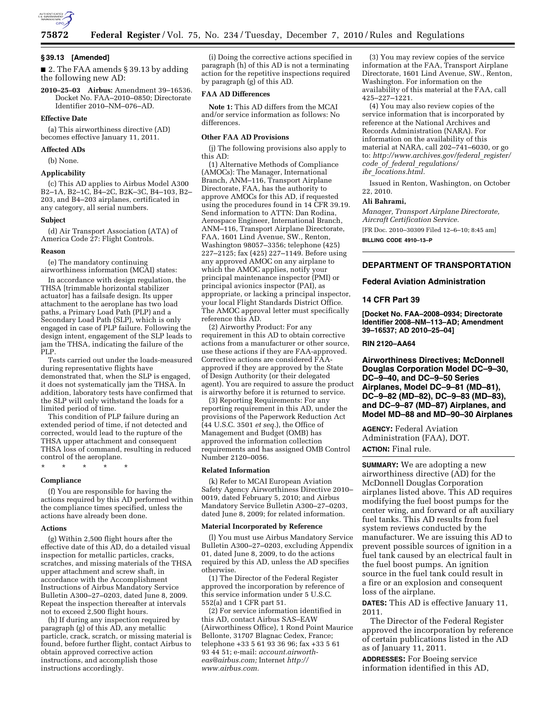

#### **§ 39.13 [Amended]**

■ 2. The FAA amends § 39.13 by adding the following new AD:

**2010–25–03 Airbus:** Amendment 39–16536. Docket No. FAA–2010–0850; Directorate Identifier 2010–NM–076–AD.

#### **Effective Date**

(a) This airworthiness directive (AD) becomes effective January 11, 2011.

**Affected ADs** 

(b) None.

# **Applicability**

(c) This AD applies to Airbus Model A300 B2–1A, B2–1C, B4–2C, B2K–3C, B4–103, B2– 203, and B4–203 airplanes, certificated in any category, all serial numbers.

#### **Subject**

(d) Air Transport Association (ATA) of America Code 27: Flight Controls.

#### **Reason**

(e) The mandatory continuing airworthiness information (MCAI) states:

In accordance with design regulation, the THSA [trimmable horizontal stabilizer actuator] has a failsafe design. Its upper attachment to the aeroplane has two load paths, a Primary Load Path (PLP) and a Secondary Load Path (SLP), which is only engaged in case of PLP failure. Following the design intent, engagement of the SLP leads to jam the THSA, indicating the failure of the PLP.

Tests carried out under the loads-measured during representative flights have demonstrated that, when the SLP is engaged, it does not systematically jam the THSA. In addition, laboratory tests have confirmed that the SLP will only withstand the loads for a limited period of time.

This condition of PLP failure during an extended period of time, if not detected and corrected, would lead to the rupture of the THSA upper attachment and consequent THSA loss of command, resulting in reduced control of the aeroplane.

\* \* \* \* \*

#### **Compliance**

(f) You are responsible for having the actions required by this AD performed within the compliance times specified, unless the actions have already been done.

#### **Actions**

(g) Within 2,500 flight hours after the effective date of this AD, do a detailed visual inspection for metallic particles, cracks, scratches, and missing materials of the THSA upper attachment and screw shaft, in accordance with the Accomplishment Instructions of Airbus Mandatory Service Bulletin A300–27–0203, dated June 8, 2009. Repeat the inspection thereafter at intervals not to exceed  $2,500$  flight hours.

(h) If during any inspection required by paragraph (g) of this AD, any metallic particle, crack, scratch, or missing material is found, before further flight, contact Airbus to obtain approved corrective action instructions, and accomplish those instructions accordingly.

(i) Doing the corrective actions specified in paragraph (h) of this AD is not a terminating action for the repetitive inspections required by paragraph (g) of this AD.

## **FAA AD Differences**

**Note 1:** This AD differs from the MCAI and/or service information as follows: No differences.

# **Other FAA AD Provisions**

(j) The following provisions also apply to this AD:

(1) Alternative Methods of Compliance (AMOCs): The Manager, International Branch, ANM–116, Transport Airplane Directorate, FAA, has the authority to approve AMOCs for this AD, if requested using the procedures found in 14 CFR 39.19. Send information to ATTN: Dan Rodina, Aerospace Engineer, International Branch, ANM–116, Transport Airplane Directorate, FAA, 1601 Lind Avenue, SW., Renton, Washington 98057–3356; telephone (425) 227–2125; fax (425) 227–1149. Before using any approved AMOC on any airplane to which the AMOC applies, notify your principal maintenance inspector (PMI) or principal avionics inspector (PAI), as appropriate, or lacking a principal inspector, your local Flight Standards District Office. The AMOC approval letter must specifically reference this AD.

(2) Airworthy Product: For any requirement in this AD to obtain corrective actions from a manufacturer or other source, use these actions if they are FAA-approved. Corrective actions are considered FAAapproved if they are approved by the State of Design Authority (or their delegated agent). You are required to assure the product is airworthy before it is returned to service.

(3) Reporting Requirements: For any reporting requirement in this AD, under the provisions of the Paperwork Reduction Act (44 U.S.C. 3501 *et seq.*), the Office of Management and Budget (OMB) has approved the information collection requirements and has assigned OMB Control Number 2120–0056.

#### **Related Information**

(k) Refer to MCAI European Aviation Safety Agency Airworthiness Directive 2010– 0019, dated February 5, 2010; and Airbus Mandatory Service Bulletin A300–27–0203, dated June 8, 2009; for related information.

#### **Material Incorporated by Reference**

(l) You must use Airbus Mandatory Service Bulletin A300–27–0203, excluding Appendix 01, dated June 8, 2009, to do the actions required by this AD, unless the AD specifies otherwise.

(1) The Director of the Federal Register approved the incorporation by reference of this service information under 5 U.S.C. 552(a) and 1 CFR part 51.

(2) For service information identified in this AD, contact Airbus SAS–EAW (Airworthiness Office), 1 Rond Point Maurice Bellonte, 31707 Blagnac Cedex, France; telephone +33 5 61 93 36 96; fax +33 5 61 93 44 51; e-mail: *[account.airworth](mailto:account.airworth-eas@airbus.com)[eas@airbus.com;](mailto:account.airworth-eas@airbus.com)* Internet *[http://](http://www.airbus.com)  [www.airbus.com.](http://www.airbus.com)* 

(3) You may review copies of the service information at the FAA, Transport Airplane Directorate, 1601 Lind Avenue, SW., Renton, Washington. For information on the availability of this material at the FAA, call 425–227–1221.

(4) You may also review copies of the service information that is incorporated by reference at the National Archives and Records Administration (NARA). For information on the availability of this material at NARA, call 202–741–6030, or go to: *[http://www.archives.gov/federal](http://www.archives.gov/federal_register/code_of_federal_regulations/ibr_locations.html)*\_*register/ code*\_*of*\_*federal*\_*[regulations/](http://www.archives.gov/federal_register/code_of_federal_regulations/ibr_locations.html) ibr*\_*[locations.html.](http://www.archives.gov/federal_register/code_of_federal_regulations/ibr_locations.html)* 

Issued in Renton, Washington, on October 22, 2010.

## **Ali Bahrami,**

*Manager, Transport Airplane Directorate, Aircraft Certification Service.* 

[FR Doc. 2010–30309 Filed 12–6–10; 8:45 am] **BILLING CODE 4910–13–P** 

## **DEPARTMENT OF TRANSPORTATION**

**Federal Aviation Administration** 

## **14 CFR Part 39**

**[Docket No. FAA–2008–0934; Directorate Identifier 2008–NM–113–AD; Amendment 39–16537; AD 2010–25–04]** 

## **RIN 2120–AA64**

**Airworthiness Directives; McDonnell Douglas Corporation Model DC–9–30, DC–9–40, and DC–9–50 Series Airplanes, Model DC–9–81 (MD–81), DC–9–82 (MD–82), DC–9–83 (MD–83), and DC–9–87 (MD–87) Airplanes, and Model MD–88 and MD–90–30 Airplanes** 

**AGENCY:** Federal Aviation Administration (FAA), DOT. **ACTION:** Final rule.

**SUMMARY:** We are adopting a new airworthiness directive (AD) for the McDonnell Douglas Corporation airplanes listed above. This AD requires modifying the fuel boost pumps for the center wing, and forward or aft auxiliary fuel tanks. This AD results from fuel system reviews conducted by the manufacturer. We are issuing this AD to prevent possible sources of ignition in a fuel tank caused by an electrical fault in the fuel boost pumps. An ignition source in the fuel tank could result in a fire or an explosion and consequent loss of the airplane.

**DATES:** This AD is effective January 11, 2011.

The Director of the Federal Register approved the incorporation by reference of certain publications listed in the AD as of January 11, 2011.

**ADDRESSES:** For Boeing service information identified in this AD,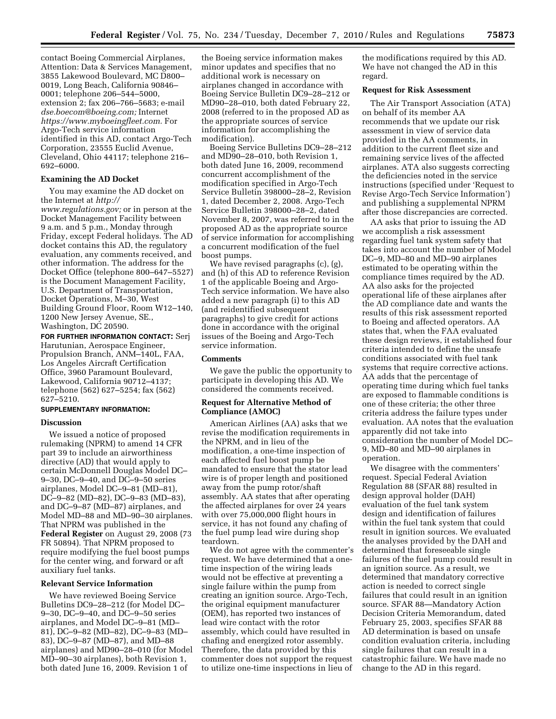contact Boeing Commercial Airplanes, Attention: Data & Services Management, 3855 Lakewood Boulevard, MC D800– 0019, Long Beach, California 90846– 0001; telephone 206–544–5000, extension 2; fax 206–766–5683; e-mail *[dse.boecom@boeing.com;](mailto:dse.boecom@boeing.com)* Internet *[https://www.myboeingfleet.com.](https://www.myboeingfleet.com)* For Argo-Tech service information identified in this AD, contact Argo-Tech Corporation, 23555 Euclid Avenue, Cleveland, Ohio 44117; telephone 216– 692–6000.

# **Examining the AD Docket**

You may examine the AD docket on the Internet at *[http://](http://www.regulations.gov)* 

*[www.regulations.gov;](http://www.regulations.gov)* or in person at the Docket Management Facility between 9 a.m. and 5 p.m., Monday through Friday, except Federal holidays. The AD docket contains this AD, the regulatory evaluation, any comments received, and other information. The address for the Docket Office (telephone 800–647–5527) is the Document Management Facility, U.S. Department of Transportation, Docket Operations, M–30, West Building Ground Floor, Room W12–140, 1200 New Jersey Avenue, SE., Washington, DC 20590.

**FOR FURTHER INFORMATION CONTACT:** Serj Harutunian, Aerospace Engineer, Propulsion Branch, ANM–140L, FAA, Los Angeles Aircraft Certification Office, 3960 Paramount Boulevard, Lakewood, California 90712–4137; telephone (562) 627–5254; fax (562) 627–5210.

## **SUPPLEMENTARY INFORMATION:**

#### **Discussion**

We issued a notice of proposed rulemaking (NPRM) to amend 14 CFR part 39 to include an airworthiness directive (AD) that would apply to certain McDonnell Douglas Model DC– 9–30, DC–9–40, and DC–9–50 series airplanes, Model DC–9–81 (MD–81), DC–9–82 (MD–82), DC–9–83 (MD–83), and DC–9–87 (MD–87) airplanes, and Model MD–88 and MD–90–30 airplanes. That NPRM was published in the **Federal Register** on August 29, 2008 (73 FR 50894). That NPRM proposed to require modifying the fuel boost pumps for the center wing, and forward or aft auxiliary fuel tanks.

## **Relevant Service Information**

We have reviewed Boeing Service Bulletins DC9–28–212 (for Model DC– 9–30, DC–9–40, and DC–9–50 series airplanes, and Model DC–9–81 (MD– 81), DC–9–82 (MD–82), DC–9–83 (MD– 83), DC–9–87 (MD–87), and MD–88 airplanes) and MD90–28–010 (for Model MD–90–30 airplanes), both Revision 1, both dated June 16, 2009. Revision 1 of

the Boeing service information makes minor updates and specifies that no additional work is necessary on airplanes changed in accordance with Boeing Service Bulletin DC9–28–212 or MD90–28–010, both dated February 22, 2008 (referred to in the proposed AD as the appropriate sources of service information for accomplishing the modification).

Boeing Service Bulletins DC9–28–212 and MD90–28–010, both Revision 1, both dated June 16, 2009, recommend concurrent accomplishment of the modification specified in Argo-Tech Service Bulletin 398000–28–2, Revision 1, dated December 2, 2008. Argo-Tech Service Bulletin 398000–28–2, dated November 8, 2007, was referred to in the proposed AD as the appropriate source of service information for accomplishing a concurrent modification of the fuel boost pumps.

We have revised paragraphs (c), (g), and (h) of this AD to reference Revision 1 of the applicable Boeing and Argo-Tech service information. We have also added a new paragraph (i) to this AD (and reidentified subsequent paragraphs) to give credit for actions done in accordance with the original issues of the Boeing and Argo-Tech service information.

## **Comments**

We gave the public the opportunity to participate in developing this AD. We considered the comments received.

## **Request for Alternative Method of Compliance (AMOC)**

American Airlines (AA) asks that we revise the modification requirements in the NPRM, and in lieu of the modification, a one-time inspection of each affected fuel boost pump be mandated to ensure that the stator lead wire is of proper length and positioned away from the pump rotor/shaft assembly. AA states that after operating the affected airplanes for over 24 years with over 75,000,000 flight hours in service, it has not found any chafing of the fuel pump lead wire during shop teardown.

We do not agree with the commenter's request. We have determined that a onetime inspection of the wiring leads would not be effective at preventing a single failure within the pump from creating an ignition source. Argo-Tech, the original equipment manufacturer (OEM), has reported two instances of lead wire contact with the rotor assembly, which could have resulted in chafing and energized rotor assembly. Therefore, the data provided by this commenter does not support the request to utilize one-time inspections in lieu of

the modifications required by this AD. We have not changed the AD in this regard.

## **Request for Risk Assessment**

The Air Transport Association (ATA) on behalf of its member AA recommends that we update our risk assessment in view of service data provided in the AA comments, in addition to the current fleet size and remaining service lives of the affected airplanes. ATA also suggests correcting the deficiencies noted in the service instructions (specified under 'Request to Revise Argo-Tech Service Information') and publishing a supplemental NPRM after those discrepancies are corrected.

AA asks that prior to issuing the AD we accomplish a risk assessment regarding fuel tank system safety that takes into account the number of Model DC–9, MD–80 and MD–90 airplanes estimated to be operating within the compliance times required by the AD. AA also asks for the projected operational life of these airplanes after the AD compliance date and wants the results of this risk assessment reported to Boeing and affected operators. AA states that, when the FAA evaluated these design reviews, it established four criteria intended to define the unsafe conditions associated with fuel tank systems that require corrective actions. AA adds that the percentage of operating time during which fuel tanks are exposed to flammable conditions is one of these criteria; the other three criteria address the failure types under evaluation. AA notes that the evaluation apparently did not take into consideration the number of Model DC– 9, MD–80 and MD–90 airplanes in operation.

We disagree with the commenters' request. Special Federal Aviation Regulation 88 (SFAR 88) resulted in design approval holder (DAH) evaluation of the fuel tank system design and identification of failures within the fuel tank system that could result in ignition sources. We evaluated the analyses provided by the DAH and determined that foreseeable single failures of the fuel pump could result in an ignition source. As a result, we determined that mandatory corrective action is needed to correct single failures that could result in an ignition source. SFAR 88—Mandatory Action Decision Criteria Memorandum, dated February 25, 2003, specifies SFAR 88 AD determination is based on unsafe condition evaluation criteria, including single failures that can result in a catastrophic failure. We have made no change to the AD in this regard.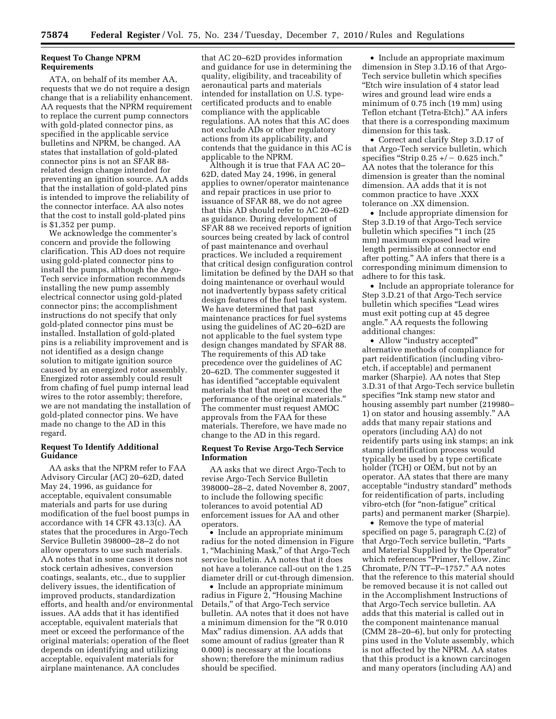# **Request To Change NPRM Requirements**

ATA, on behalf of its member AA, requests that we do not require a design change that is a reliability enhancement. AA requests that the NPRM requirement to replace the current pump connectors with gold-plated connector pins, as specified in the applicable service bulletins and NPRM, be changed. AA states that installation of gold-plated connector pins is not an SFAR 88 related design change intended for preventing an ignition source. AA adds that the installation of gold-plated pins is intended to improve the reliability of the connector interface. AA also notes that the cost to install gold-plated pins is \$1,352 per pump.

We acknowledge the commenter's concern and provide the following clarification. This AD does not require using gold-plated connector pins to install the pumps, although the Argo-Tech service information recommends installing the new pump assembly electrical connector using gold-plated connector pins; the accomplishment instructions do not specify that only gold-plated connector pins must be installed. Installation of gold-plated pins is a reliability improvement and is not identified as a design change solution to mitigate ignition source caused by an energized rotor assembly. Energized rotor assembly could result from chafing of fuel pump internal lead wires to the rotor assembly; therefore, we are not mandating the installation of gold-plated connector pins. We have made no change to the AD in this regard.

## **Request To Identify Additional Guidance**

AA asks that the NPRM refer to FAA Advisory Circular (AC) 20–62D, dated May 24, 1996, as guidance for acceptable, equivalent consumable materials and parts for use during modification of the fuel boost pumps in accordance with 14 CFR 43.13(c). AA states that the procedures in Argo-Tech Service Bulletin 398000–28–2 do not allow operators to use such materials. AA notes that in some cases it does not stock certain adhesives, conversion coatings, sealants, etc., due to supplier delivery issues, the identification of improved products, standardization efforts, and health and/or environmental issues. AA adds that it has identified acceptable, equivalent materials that meet or exceed the performance of the original materials; operation of the fleet depends on identifying and utilizing acceptable, equivalent materials for airplane maintenance. AA concludes

that AC 20–62D provides information and guidance for use in determining the quality, eligibility, and traceability of aeronautical parts and materials intended for installation on U.S. typecertificated products and to enable compliance with the applicable regulations. AA notes that this AC does not exclude ADs or other regulatory actions from its applicability, and contends that the guidance in this AC is applicable to the NPRM.

Although it is true that FAA AC 20– 62D, dated May 24, 1996, in general applies to owner/operator maintenance and repair practices in use prior to issuance of SFAR 88, we do not agree that this AD should refer to AC 20–62D as guidance. During development of SFAR 88 we received reports of ignition sources being created by lack of control of past maintenance and overhaul practices. We included a requirement that critical design configuration control limitation be defined by the DAH so that doing maintenance or overhaul would not inadvertently bypass safety critical design features of the fuel tank system. We have determined that past maintenance practices for fuel systems using the guidelines of AC 20–62D are not applicable to the fuel system type design changes mandated by SFAR 88. The requirements of this AD take precedence over the guidelines of AC 20–62D. The commenter suggested it has identified ''acceptable equivalent materials that that meet or exceed the performance of the original materials.'' The commenter must request AMOC approvals from the FAA for these materials. Therefore, we have made no change to the AD in this regard.

## **Request To Revise Argo-Tech Service Information**

AA asks that we direct Argo-Tech to revise Argo-Tech Service Bulletin 398000–28–2, dated November 8, 2007, to include the following specific tolerances to avoid potential AD enforcement issues for AA and other operators.

• Include an appropriate minimum radius for the noted dimension in Figure 1, ''Machining Mask,'' of that Argo-Tech service bulletin. AA notes that it does not have a tolerance call-out on the 1.25 diameter drill or cut-through dimension.

• Include an appropriate minimum radius in Figure 2, ''Housing Machine Details,'' of that Argo-Tech service bulletin. AA notes that it does not have a minimum dimension for the ''R 0.010 Max'' radius dimension. AA adds that some amount of radius (greater than R 0.000) is necessary at the locations shown; therefore the minimum radius should be specified.

• Include an appropriate maximum dimension in Step 3.D.16 of that Argo-Tech service bulletin which specifies ''Etch wire insulation of 4 stator lead wires and ground lead wire ends a minimum of 0.75 inch (19 mm) using Teflon etchant (Tetra-Etch).'' AA infers that there is a corresponding maximum dimension for this task.

• Correct and clarify Step 3.D.17 of that Argo-Tech service bulletin, which specifies "Strip  $0.25 +/- 0.625$  inch." AA notes that the tolerance for this dimension is greater than the nominal dimension. AA adds that it is not common practice to have .XXX tolerance on .XX dimension.

• Include appropriate dimension for Step 3.D.19 of that Argo-Tech service bulletin which specifies "1 inch (25) mm) maximum exposed lead wire length permissible at connector end after potting.'' AA infers that there is a corresponding minimum dimension to adhere to for this task.

• Include an appropriate tolerance for Step 3.D.21 of that Argo-Tech service bulletin which specifies ''Lead wires must exit potting cup at 45 degree angle.'' AA requests the following additional changes:

• Allow "industry accepted" alternative methods of compliance for part reidentification (including vibroetch, if acceptable) and permanent marker (Sharpie). AA notes that Step 3.D.31 of that Argo-Tech service bulletin specifies ''Ink stamp new stator and housing assembly part number (219980– 1) on stator and housing assembly.'' AA adds that many repair stations and operators (including AA) do not reidentify parts using ink stamps; an ink stamp identification process would typically be used by a type certificate holder (TCH) or OEM, but not by an operator. AA states that there are many acceptable ''industry standard'' methods for reidentification of parts, including vibro-etch (for "non-fatigue" critical parts) and permanent marker (Sharpie).

• Remove the type of material specified on page 5, paragraph C.(2) of that Argo-Tech service bulletin, ''Parts and Material Supplied by the Operator'' which references ''Primer, Yellow, Zinc Chromate, P/N TT–P–1757.'' AA notes that the reference to this material should be removed because it is not called out in the Accomplishment Instructions of that Argo-Tech service bulletin. AA adds that this material is called out in the component maintenance manual (CMM 28–20–6), but only for protecting pins used in the Volute assembly, which is not affected by the NPRM. AA states that this product is a known carcinogen and many operators (including AA) and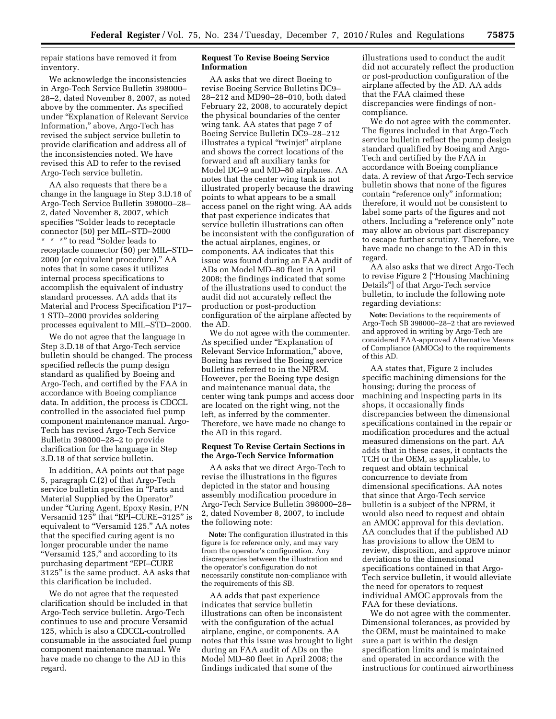repair stations have removed it from inventory.

We acknowledge the inconsistencies in Argo-Tech Service Bulletin 398000– 28–2, dated November 8, 2007, as noted above by the commenter. As specified under ''Explanation of Relevant Service Information,'' above, Argo-Tech has revised the subject service bulletin to provide clarification and address all of the inconsistencies noted. We have revised this AD to refer to the revised Argo-Tech service bulletin.

AA also requests that there be a change in the language in Step 3.D.18 of Argo-Tech Service Bulletin 398000–28– 2, dated November 8, 2007, which specifies ''Solder leads to receptacle connector (50) per MIL–STD–2000 \*\*\*'' to read ''Solder leads to receptacle connector (50) per MIL–STD– 2000 (or equivalent procedure).'' AA notes that in some cases it utilizes internal process specifications to accomplish the equivalent of industry standard processes. AA adds that its Material and Process Specification P17– 1 STD–2000 provides soldering processes equivalent to MIL–STD–2000.

We do not agree that the language in Step 3.D.18 of that Argo-Tech service bulletin should be changed. The process specified reflects the pump design standard as qualified by Boeing and Argo-Tech, and certified by the FAA in accordance with Boeing compliance data. In addition, the process is CDCCL controlled in the associated fuel pump component maintenance manual. Argo-Tech has revised Argo-Tech Service Bulletin 398000–28–2 to provide clarification for the language in Step 3.D.18 of that service bulletin.

In addition, AA points out that page 5, paragraph C.(2) of that Argo-Tech service bulletin specifies in ''Parts and Material Supplied by the Operator'' under ''Curing Agent, Epoxy Resin, P/N Versamid 125'' that ''EPI–CURE–3125'' is equivalent to "Versamid 125." AA notes that the specified curing agent is no longer procurable under the name "Versamid 125," and according to its purchasing department ''EPI–CURE 3125'' is the same product. AA asks that this clarification be included.

We do not agree that the requested clarification should be included in that Argo-Tech service bulletin. Argo-Tech continues to use and procure Versamid 125, which is also a CDCCL-controlled consumable in the associated fuel pump component maintenance manual. We have made no change to the AD in this regard.

## **Request To Revise Boeing Service Information**

AA asks that we direct Boeing to revise Boeing Service Bulletins DC9– 28–212 and MD90–28–010, both dated February 22, 2008, to accurately depict the physical boundaries of the center wing tank. AA states that page 7 of Boeing Service Bulletin DC9–28–212 illustrates a typical "twinjet" airplane and shows the correct locations of the forward and aft auxiliary tanks for Model DC–9 and MD–80 airplanes. AA notes that the center wing tank is not illustrated properly because the drawing points to what appears to be a small access panel on the right wing. AA adds that past experience indicates that service bulletin illustrations can often be inconsistent with the configuration of the actual airplanes, engines, or components. AA indicates that this issue was found during an FAA audit of ADs on Model MD–80 fleet in April 2008; the findings indicated that some of the illustrations used to conduct the audit did not accurately reflect the production or post-production configuration of the airplane affected by the AD.

We do not agree with the commenter. As specified under "Explanation of Relevant Service Information,'' above, Boeing has revised the Boeing service bulletins referred to in the NPRM. However, per the Boeing type design and maintenance manual data, the center wing tank pumps and access door are located on the right wing, not the left, as inferred by the commenter. Therefore, we have made no change to the AD in this regard.

## **Request To Revise Certain Sections in the Argo-Tech Service Information**

AA asks that we direct Argo-Tech to revise the illustrations in the figures depicted in the stator and housing assembly modification procedure in Argo-Tech Service Bulletin 398000–28– 2, dated November 8, 2007, to include the following note:

**Note:** The configuration illustrated in this figure is for reference only, and may vary from the operator's configuration. Any discrepancies between the illustration and the operator's configuration do not necessarily constitute non-compliance with the requirements of this SB.

AA adds that past experience indicates that service bulletin illustrations can often be inconsistent with the configuration of the actual airplane, engine, or components. AA notes that this issue was brought to light during an FAA audit of ADs on the Model MD–80 fleet in April 2008; the findings indicated that some of the

illustrations used to conduct the audit did not accurately reflect the production or post-production configuration of the airplane affected by the AD. AA adds that the FAA claimed these discrepancies were findings of noncompliance.

We do not agree with the commenter. The figures included in that Argo-Tech service bulletin reflect the pump design standard qualified by Boeing and Argo-Tech and certified by the FAA in accordance with Boeing compliance data. A review of that Argo-Tech service bulletin shows that none of the figures contain "reference only" information; therefore, it would not be consistent to label some parts of the figures and not others. Including a ''reference only'' note may allow an obvious part discrepancy to escape further scrutiny. Therefore, we have made no change to the AD in this regard.

AA also asks that we direct Argo-Tech to revise Figure 2 [''Housing Machining Details''] of that Argo-Tech service bulletin, to include the following note regarding deviations:

**Note:** Deviations to the requirements of Argo-Tech SB 398000–28–2 that are reviewed and approved in writing by Argo-Tech are considered FAA-approved Alternative Means of Compliance (AMOCs) to the requirements of this AD.

AA states that, Figure 2 includes specific machining dimensions for the housing; during the process of machining and inspecting parts in its shops, it occasionally finds discrepancies between the dimensional specifications contained in the repair or modification procedures and the actual measured dimensions on the part. AA adds that in these cases, it contacts the TCH or the OEM, as applicable, to request and obtain technical concurrence to deviate from dimensional specifications. AA notes that since that Argo-Tech service bulletin is a subject of the NPRM, it would also need to request and obtain an AMOC approval for this deviation. AA concludes that if the published AD has provisions to allow the OEM to review, disposition, and approve minor deviations to the dimensional specifications contained in that Argo-Tech service bulletin, it would alleviate the need for operators to request individual AMOC approvals from the FAA for these deviations.

We do not agree with the commenter. Dimensional tolerances, as provided by the OEM, must be maintained to make sure a part is within the design specification limits and is maintained and operated in accordance with the instructions for continued airworthiness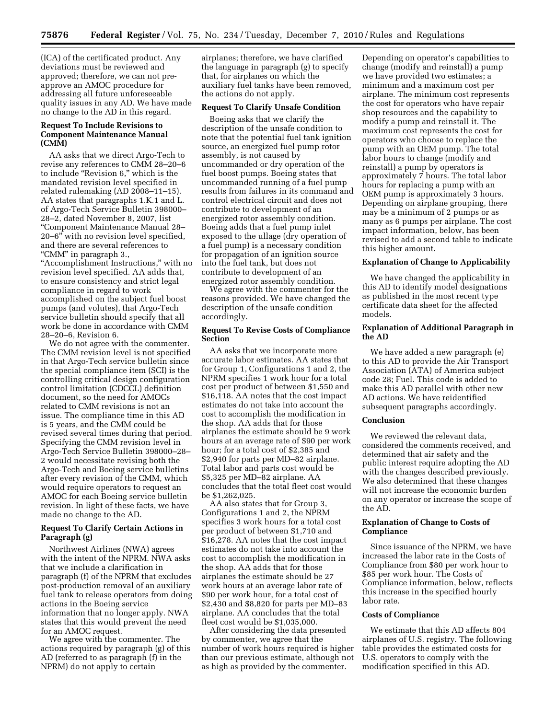(ICA) of the certificated product. Any deviations must be reviewed and approved; therefore, we can not preapprove an AMOC procedure for addressing all future unforeseeable quality issues in any AD. We have made no change to the AD in this regard.

# **Request To Include Revisions to Component Maintenance Manual (CMM)**

AA asks that we direct Argo-Tech to revise any references to CMM 28–20–6 to include ''Revision 6,'' which is the mandated revision level specified in related rulemaking (AD 2008–11–15). AA states that paragraphs 1.K.1 and L. of Argo-Tech Service Bulletin 398000– 28–2, dated November 8, 2007, list ''Component Maintenance Manual 28– 20–6'' with no revision level specified, and there are several references to "CMM" in paragraph 3.,

''Accomplishment Instructions,'' with no revision level specified. AA adds that, to ensure consistency and strict legal compliance in regard to work accomplished on the subject fuel boost pumps (and volutes), that Argo-Tech service bulletin should specify that all work be done in accordance with CMM 28–20–6, Revision 6.

We do not agree with the commenter. The CMM revision level is not specified in that Argo-Tech service bulletin since the special compliance item (SCI) is the controlling critical design configuration control limitation (CDCCL) definition document, so the need for AMOCs related to CMM revisions is not an issue. The compliance time in this AD is 5 years, and the CMM could be revised several times during that period. Specifying the CMM revision level in Argo-Tech Service Bulletin 398000–28– 2 would necessitate revising both the Argo-Tech and Boeing service bulletins after every revision of the CMM, which would require operators to request an AMOC for each Boeing service bulletin revision. In light of these facts, we have made no change to the AD.

# **Request To Clarify Certain Actions in Paragraph (g)**

Northwest Airlines (NWA) agrees with the intent of the NPRM. NWA asks that we include a clarification in paragraph (f) of the NPRM that excludes post-production removal of an auxiliary fuel tank to release operators from doing actions in the Boeing service information that no longer apply. NWA states that this would prevent the need for an AMOC request.

We agree with the commenter. The actions required by paragraph (g) of this AD (referred to as paragraph (f) in the NPRM) do not apply to certain

airplanes; therefore, we have clarified the language in paragraph (g) to specify that, for airplanes on which the auxiliary fuel tanks have been removed, the actions do not apply.

# **Request To Clarify Unsafe Condition**

Boeing asks that we clarify the description of the unsafe condition to note that the potential fuel tank ignition source, an energized fuel pump rotor assembly, is not caused by uncommanded or dry operation of the fuel boost pumps. Boeing states that uncommanded running of a fuel pump results from failures in its command and control electrical circuit and does not contribute to development of an energized rotor assembly condition. Boeing adds that a fuel pump inlet exposed to the ullage (dry operation of a fuel pump) is a necessary condition for propagation of an ignition source into the fuel tank, but does not contribute to development of an energized rotor assembly condition.

We agree with the commenter for the reasons provided. We have changed the description of the unsafe condition accordingly.

## **Request To Revise Costs of Compliance Section**

AA asks that we incorporate more accurate labor estimates. AA states that for Group 1, Configurations 1 and 2, the NPRM specifies 1 work hour for a total cost per product of between \$1,550 and \$16,118. AA notes that the cost impact estimates do not take into account the cost to accomplish the modification in the shop. AA adds that for those airplanes the estimate should be 9 work hours at an average rate of \$90 per work hour; for a total cost of \$2,385 and \$2,940 for parts per MD–82 airplane. Total labor and parts cost would be \$5,325 per MD–82 airplane. AA concludes that the total fleet cost would be \$1,262,025.

AA also states that for Group 3, Configurations 1 and 2, the NPRM specifies 3 work hours for a total cost per product of between \$1,710 and \$16,278. AA notes that the cost impact estimates do not take into account the cost to accomplish the modification in the shop. AA adds that for those airplanes the estimate should be 27 work hours at an average labor rate of \$90 per work hour, for a total cost of \$2,430 and \$8,820 for parts per MD–83 airplane. AA concludes that the total fleet cost would be \$1,035,000.

After considering the data presented by commenter, we agree that the number of work hours required is higher than our previous estimate, although not as high as provided by the commenter.

Depending on operator's capabilities to change (modify and reinstall) a pump we have provided two estimates; a minimum and a maximum cost per airplane. The minimum cost represents the cost for operators who have repair shop resources and the capability to modify a pump and reinstall it. The maximum cost represents the cost for operators who choose to replace the pump with an OEM pump. The total labor hours to change (modify and reinstall) a pump by operators is approximately 7 hours. The total labor hours for replacing a pump with an OEM pump is approximately 3 hours. Depending on airplane grouping, there may be a minimum of 2 pumps or as many as 6 pumps per airplane. The cost impact information, below, has been revised to add a second table to indicate this higher amount.

## **Explanation of Change to Applicability**

We have changed the applicability in this AD to identify model designations as published in the most recent type certificate data sheet for the affected models.

## **Explanation of Additional Paragraph in the AD**

We have added a new paragraph (e) to this AD to provide the Air Transport Association (ATA) of America subject code 28; Fuel. This code is added to make this AD parallel with other new AD actions. We have reidentified subsequent paragraphs accordingly.

## **Conclusion**

We reviewed the relevant data, considered the comments received, and determined that air safety and the public interest require adopting the AD with the changes described previously. We also determined that these changes will not increase the economic burden on any operator or increase the scope of the AD.

# **Explanation of Change to Costs of Compliance**

Since issuance of the NPRM, we have increased the labor rate in the Costs of Compliance from \$80 per work hour to \$85 per work hour. The Costs of Compliance information, below, reflects this increase in the specified hourly labor rate.

#### **Costs of Compliance**

We estimate that this AD affects 804 airplanes of U.S. registry. The following table provides the estimated costs for U.S. operators to comply with the modification specified in this AD.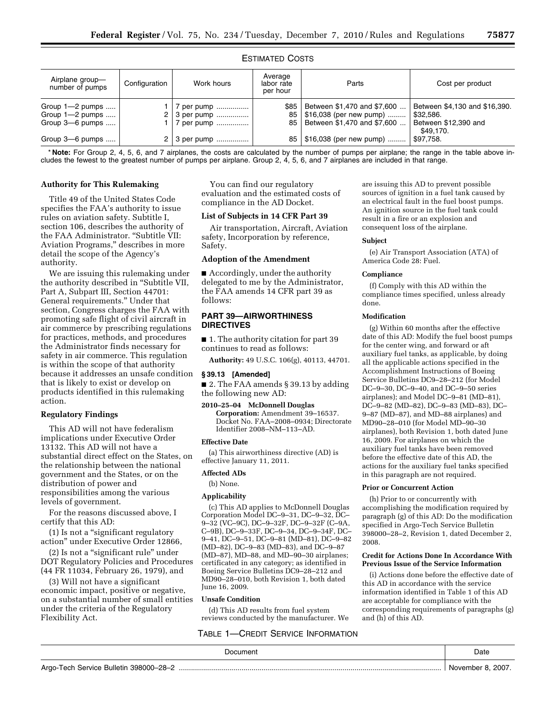# ESTIMATED COSTS

| Airplane group-<br>number of pumps                    | Configuration | Work hours                                  | Average<br>labor rate<br>per hour | Parts                                                                                 | Cost per product                                                                |
|-------------------------------------------------------|---------------|---------------------------------------------|-----------------------------------|---------------------------------------------------------------------------------------|---------------------------------------------------------------------------------|
| Group 1-2 pumps<br>Group 1-2 pumps<br>Group 3-6 pumps |               | / per pump  '<br>3 per pump !<br>7 per pump | \$85<br>85<br>85 I                | Between \$1,470 and \$7,600<br>\$16,038 (per new pump)<br>Between \$1,470 and \$7,600 | Between \$4,130 and \$16,390.<br>\$32.586.<br>Between \$12,390 and<br>\$49.170. |
| Group 3-6 pumps                                       |               | 3 per pump                                  | 85                                | \$16,038 (per new pump)                                                               | \$97,758.                                                                       |

\* **Note:** For Group 2, 4, 5, 6, and 7 airplanes, the costs are calculated by the number of pumps per airplane; the range in the table above includes the fewest to the greatest number of pumps per airplane. Group 2, 4, 5, 6, and 7 airplanes are included in that range.

# **Authority for This Rulemaking**

Title 49 of the United States Code specifies the FAA's authority to issue rules on aviation safety. Subtitle I, section 106, describes the authority of the FAA Administrator. ''Subtitle VII: Aviation Programs,'' describes in more detail the scope of the Agency's authority.

We are issuing this rulemaking under the authority described in ''Subtitle VII, Part A, Subpart III, Section 44701: General requirements.'' Under that section, Congress charges the FAA with promoting safe flight of civil aircraft in air commerce by prescribing regulations for practices, methods, and procedures the Administrator finds necessary for safety in air commerce. This regulation is within the scope of that authority because it addresses an unsafe condition that is likely to exist or develop on products identified in this rulemaking action.

## **Regulatory Findings**

This AD will not have federalism implications under Executive Order 13132. This AD will not have a substantial direct effect on the States, on the relationship between the national government and the States, or on the distribution of power and responsibilities among the various levels of government.

For the reasons discussed above, I certify that this AD:

(1) Is not a ''significant regulatory action'' under Executive Order 12866,

(2) Is not a ''significant rule'' under DOT Regulatory Policies and Procedures (44 FR 11034, February 26, 1979), and

(3) Will not have a significant economic impact, positive or negative, on a substantial number of small entities under the criteria of the Regulatory Flexibility Act.

You can find our regulatory evaluation and the estimated costs of compliance in the AD Docket.

## **List of Subjects in 14 CFR Part 39**

Air transportation, Aircraft, Aviation safety, Incorporation by reference, Safety.

## **Adoption of the Amendment**

■ Accordingly, under the authority delegated to me by the Administrator, the FAA amends 14 CFR part 39 as follows:

# **PART 39—AIRWORTHINESS DIRECTIVES**

■ 1. The authority citation for part 39 continues to read as follows:

**Authority:** 49 U.S.C. 106(g), 40113, 44701.

# **§ 39.13 [Amended]**

■ 2. The FAA amends § 39.13 by adding the following new AD:

**2010–25–04 McDonnell Douglas Corporation:** Amendment 39–16537. Docket No. FAA–2008–0934; Directorate Identifier 2008–NM–113–AD.

#### **Effective Date**

(a) This airworthiness directive (AD) is effective January 11, 2011.

# **Affected ADs**

(b) None.

# **Applicability**

(c) This AD applies to McDonnell Douglas Corporation Model DC–9–31, DC–9–32, DC– 9–32 (VC–9C), DC–9–32F, DC–9–32F (C–9A, C–9B), DC–9–33F, DC–9–34, DC–9–34F, DC– 9–41, DC–9–51, DC–9–81 (MD–81), DC–9–82 (MD–82), DC–9–83 (MD–83), and DC–9–87 (MD–87), MD–88, and MD–90–30 airplanes; certificated in any category; as identified in Boeing Service Bulletins DC9–28–212 and MD90–28–010, both Revision 1, both dated June 16, 2009.

# **Unsafe Condition**

(d) This AD results from fuel system reviews conducted by the manufacturer. We

## TABLE 1—CREDIT SERVICE INFORMATION

are issuing this AD to prevent possible sources of ignition in a fuel tank caused by an electrical fault in the fuel boost pumps. An ignition source in the fuel tank could result in a fire or an explosion and consequent loss of the airplane.

#### **Subject**

(e) Air Transport Association (ATA) of America Code 28: Fuel.

#### **Compliance**

(f) Comply with this AD within the compliance times specified, unless already done.

## **Modification**

(g) Within 60 months after the effective date of this AD: Modify the fuel boost pumps for the center wing, and forward or aft auxiliary fuel tanks, as applicable, by doing all the applicable actions specified in the Accomplishment Instructions of Boeing Service Bulletins DC9–28–212 (for Model DC–9–30, DC–9–40, and DC–9–50 series airplanes); and Model DC–9–81 (MD–81), DC–9–82 (MD–82), DC–9–83 (MD–83), DC– 9–87 (MD–87), and MD–88 airplanes) and MD90–28–010 (for Model MD–90–30 airplanes), both Revision 1, both dated June 16, 2009. For airplanes on which the auxiliary fuel tanks have been removed before the effective date of this AD, the actions for the auxiliary fuel tanks specified in this paragraph are not required.

## **Prior or Concurrent Action**

(h) Prior to or concurrently with accomplishing the modification required by paragraph (g) of this AD: Do the modification specified in Argo-Tech Service Bulletin 398000–28–2, Revision 1, dated December 2, 2008.

#### **Credit for Actions Done In Accordance With Previous Issue of the Service Information**

(i) Actions done before the effective date of this AD in accordance with the service information identified in Table 1 of this AD are acceptable for compliance with the corresponding requirements of paragraphs (g) and (h) of this AD.

|                                                      | Date                   |
|------------------------------------------------------|------------------------|
| Argo<br>.<br>Ook<br>Bulletin<br>VICE<br>56 H<br>---- | $200^{-7}$<br>NOV<br>. |